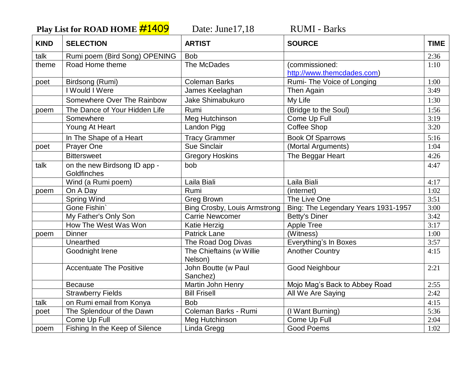**Play List for ROAD HOME**  $\frac{\#1409}{\#1409}$  Date: June17,18 RUMI - Barks

| <b>KIND</b> | <b>SELECTION</b>               | <b>ARTIST</b>                       | <b>SOURCE</b>                       | <b>TIME</b> |
|-------------|--------------------------------|-------------------------------------|-------------------------------------|-------------|
| talk        | Rumi poem (Bird Song) OPENING  | <b>Bob</b>                          |                                     | 2:36        |
| theme       | Road Home theme                | The McDades                         | (commissioned:                      | 1:10        |
|             |                                |                                     | http://www.themcdades.com)          |             |
| poet        | Birdsong (Rumi)                | <b>Coleman Barks</b>                | Rumi- The Voice of Longing          | 1:00        |
|             | I Would I Were                 | James Keelaghan                     | Then Again                          | 3:49        |
|             | Somewhere Over The Rainbow     | Jake Shimabukuro                    | My Life                             | 1:30        |
| poem        | The Dance of Your Hidden Life  | Rumi                                | (Bridge to the Soul)                | 1:56        |
|             | Somewhere                      | Meg Hutchinson                      | Come Up Full                        | 3:19        |
|             | Young At Heart                 | Landon Pigg                         | <b>Coffee Shop</b>                  | 3:20        |
|             | In The Shape of a Heart        | <b>Tracy Grammer</b>                | <b>Book Of Sparrows</b>             | 5:16        |
| poet        | Prayer One                     | <b>Sue Sinclair</b>                 | (Mortal Arguments)                  | 1:04        |
|             | <b>Bittersweet</b>             | <b>Gregory Hoskins</b>              | The Beggar Heart                    | 4:26        |
| talk        | on the new Birdsong ID app -   | bob                                 |                                     | 4:47        |
|             | Goldfinches                    |                                     |                                     |             |
|             | Wind (a Rumi poem)             | Laila Biali                         | Laila Biali                         | 4:17        |
| poem        | On A Day                       | Rumi                                | (internet)                          | 1:02        |
|             | <b>Spring Wind</b>             | <b>Greg Brown</b>                   | The Live One                        | 3:51        |
|             | Gone Fishin                    | <b>Bing Crosby, Louis Armstrong</b> | Bing: The Legendary Years 1931-1957 | 3:00        |
|             | My Father's Only Son           | <b>Carrie Newcomer</b>              | Betty's Diner                       | 3:42        |
|             | How The West Was Won           | Katie Herzig                        | <b>Apple Tree</b>                   | 3:17        |
| poem        | <b>Dinner</b>                  | <b>Patrick Lane</b>                 | (Witness)                           | 1:00        |
|             | Unearthed                      | The Road Dog Divas                  | Everything's In Boxes               | 3:57        |
|             | Goodnight Irene                | The Chieftains (w Willie            | <b>Another Country</b>              | 4:15        |
|             |                                | Nelson)                             |                                     |             |
|             | <b>Accentuate The Positive</b> | John Boutte (w Paul<br>Sanchez)     | Good Neighbour                      | 2:21        |
|             | <b>Because</b>                 | Martin John Henry                   | Mojo Mag's Back to Abbey Road       | 2:55        |
|             | <b>Strawberry Fields</b>       | <b>Bill Frisell</b>                 | All We Are Saying                   | 2:42        |
| talk        | on Rumi email from Konya       | <b>Bob</b>                          |                                     | 4:15        |
| poet        | The Splendour of the Dawn      | Coleman Barks - Rumi                | (I Want Burning)                    | 5:36        |
|             | Come Up Full                   | Meg Hutchinson                      | Come Up Full                        | 2:04        |
| poem        | Fishing In the Keep of Silence | Linda Gregg                         | <b>Good Poems</b>                   | 1:02        |
|             |                                |                                     |                                     |             |